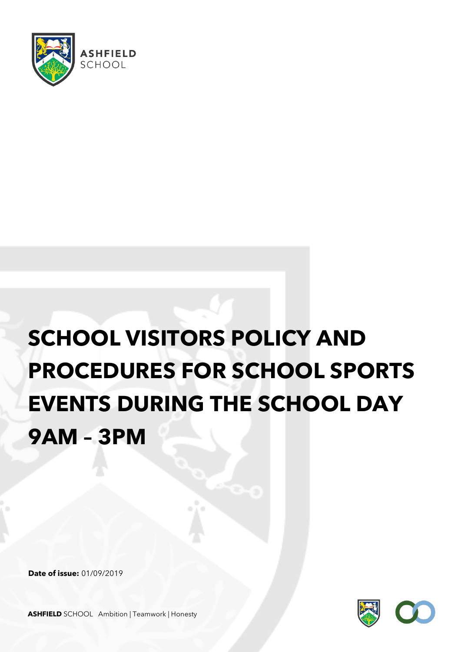

## **SCHOOL VISITORS POLICY AND PROCEDURES FOR SCHOOL SPORTS EVENTS DURING THE SCHOOL DAY 9AM – 3PM**

**Date of issue:** 01/09/2019



**ASHFIELD** SCHOOL Ambition | Teamwork | Honesty